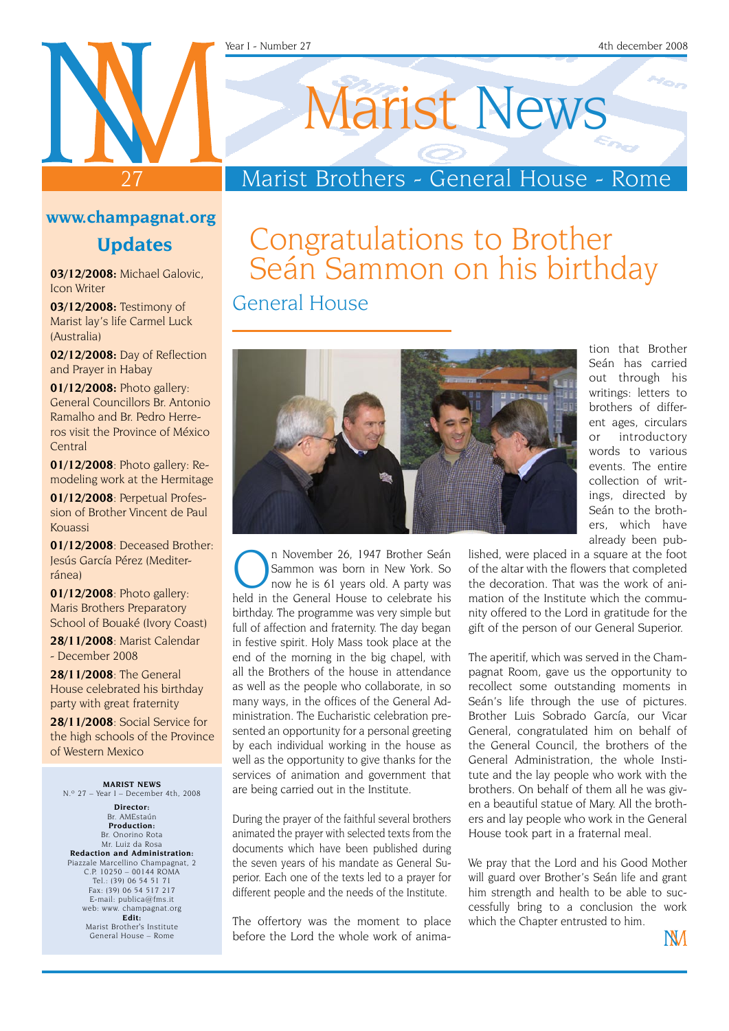#### Year I - Number 27 4th december 2008

# 27

## Marist News

### Marist Brothers - General House - Rome

#### **www.champagnat.org**

#### **Updates**

**03/12/2008:** Michael Galovic, Icon Writer

**03/12/2008:** Testimony of Marist lay's life Carmel Luck (Australia)

**02/12/2008:** Day of Reflection and Prayer in Habay

**01/12/2008:** Photo gallery: General Councillors Br. Antonio Ramalho and Br. Pedro Herreros visit the Province of México **Central** 

**01/12/2008**: Photo gallery: Remodeling work at the Hermitage

**01/12/2008**: Perpetual Profession of Brother Vincent de Paul Kouassi

**01/12/2008**: Deceased Brother: Jesús García Pérez (Mediterránea)

**01/12/2008**: Photo gallery: Maris Brothers Preparatory School of Bouaké (Ivory Coast)

**28/11/2008**: Marist Calendar - December 2008

**28/11/2008**: The General House celebrated his birthday party with great fraternity

**28/11/2008**: Social Service for the high schools of the Province of Western Mexico

**MARIST NEWS** N.º 27 – Year I – December 4th, 2008

**Director:** Br. AMEstaún **Production:** Br. Onorino Rota Mr. Luiz da Rosa **Redaction and Administration:** Piazzale Marcellino Champagnat, 2 C.P. 10250 – 00144 ROMA Tel.: (39) 06 54 51 71 Fax: (39) 06 54 517 217 E-mail: publica@fms.it web: www. champagnat.org **Edit:** Marist Brother's Institute General House – Rome

## Congratulations to Brother Seán Sammon on his birthday

General House



n November 26, 1947 Brother Seán<br>Sammon was born in New York. So<br>hold in the Coneral House to select this Sammon was born in New York. So now he is 61 years old. A party was held in the General House to celebrate his birthday. The programme was very simple but full of affection and fraternity. The day began in festive spirit. Holy Mass took place at the end of the morning in the big chapel, with all the Brothers of the house in attendance as well as the people who collaborate, in so many ways, in the offices of the General Administration. The Eucharistic celebration presented an opportunity for a personal greeting by each individual working in the house as well as the opportunity to give thanks for the services of animation and government that are being carried out in the Institute.

During the prayer of the faithful several brothers animated the prayer with selected texts from the documents which have been published during the seven years of his mandate as General Superior. Each one of the texts led to a prayer for different people and the needs of the Institute.

The offertory was the moment to place before the Lord the whole work of anima-

tion that Brother Seán has carried out through his writings: letters to brothers of different ages, circulars or introductory words to various events. The entire collection of writings, directed by Seán to the brothers, which have already been pub-

lished, were placed in a square at the foot of the altar with the flowers that completed the decoration. That was the work of animation of the Institute which the community offered to the Lord in gratitude for the gift of the person of our General Superior.

The aperitif, which was served in the Champagnat Room, gave us the opportunity to recollect some outstanding moments in Seán's life through the use of pictures. Brother Luis Sobrado García, our Vicar General, congratulated him on behalf of the General Council, the brothers of the General Administration, the whole Institute and the lay people who work with the brothers. On behalf of them all he was given a beautiful statue of Mary. All the brothers and lay people who work in the General House took part in a fraternal meal.

We pray that the Lord and his Good Mother will guard over Brother's Seán life and grant him strength and health to be able to successfully bring to a conclusion the work which the Chapter entrusted to him.

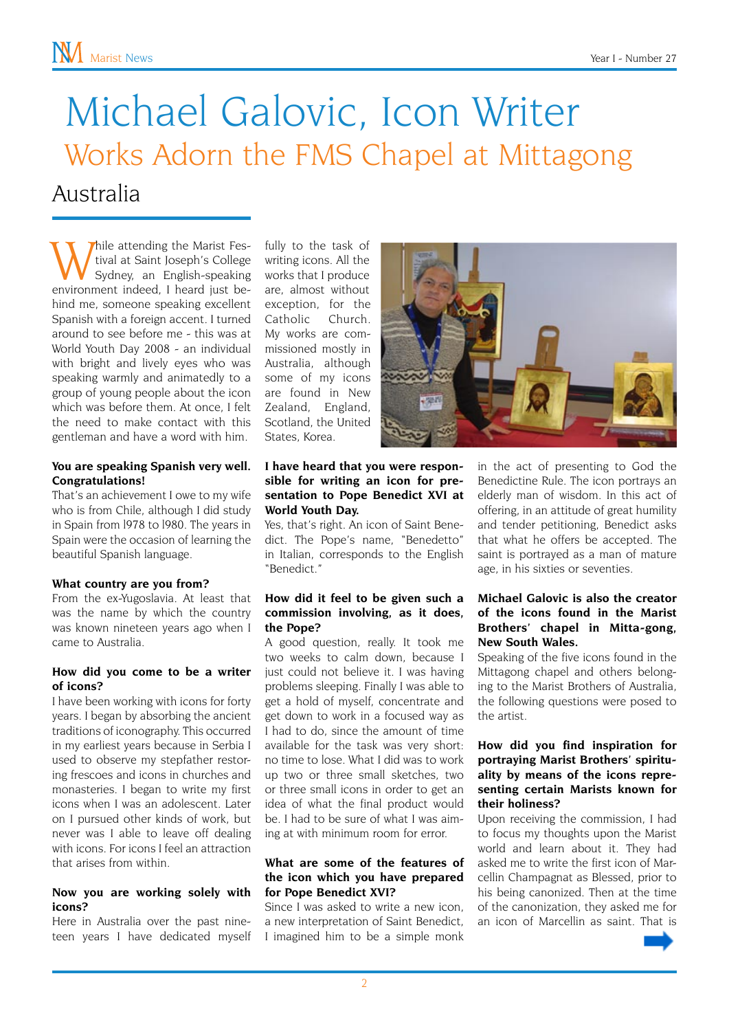## Michael Galovic, Icon Writer Australia Works Adorn the FMS Chapel at Mittagong

While attending the Marist Fes-<br>tival at Saint Joseph's College<br>sydney, an English-speaking<br>environment indeed I heard just betival at Saint Joseph's College environment indeed, I heard just behind me, someone speaking excellent Spanish with a foreign accent. I turned around to see before me - this was at World Youth Day 2008 - an individual with bright and lively eyes who was speaking warmly and animatedly to a group of young people about the icon which was before them. At once, I felt the need to make contact with this gentleman and have a word with him.

#### **You are speaking Spanish very well. Congratulations!**

That's an achievement I owe to my wife who is from Chile, although I did study in Spain from l978 to l980. The years in Spain were the occasion of learning the beautiful Spanish language.

#### **What country are you from?**

From the ex-Yugoslavia. At least that was the name by which the country was known nineteen years ago when I came to Australia.

#### **How did you come to be a writer of icons?**

I have been working with icons for forty years. I began by absorbing the ancient traditions of iconography. This occurred in my earliest years because in Serbia I used to observe my stepfather restoring frescoes and icons in churches and monasteries. I began to write my first icons when I was an adolescent. Later on I pursued other kinds of work, but never was I able to leave off dealing with icons. For icons I feel an attraction that arises from within.

#### **Now you are working solely with icons?**

Here in Australia over the past nineteen years I have dedicated myself fully to the task of writing icons. All the works that I produce are, almost without exception, for the Catholic Church. My works are commissioned mostly in Australia, although some of my icons are found in New Zealand, England, Scotland, the United States, Korea.



#### **I have heard that you were responsible for writing an icon for presentation to Pope Benedict XVI at World Youth Day.**

Yes, that's right. An icon of Saint Benedict. The Pope's name, "Benedetto" in Italian, corresponds to the English "Benedict."

#### **How did it feel to be given such a commission involving, as it does, the Pope?**

A good question, really. It took me two weeks to calm down, because I just could not believe it. I was having problems sleeping. Finally I was able to get a hold of myself, concentrate and get down to work in a focused way as I had to do, since the amount of time available for the task was very short: no time to lose. What I did was to work up two or three small sketches, two or three small icons in order to get an idea of what the final product would be. I had to be sure of what I was aiming at with minimum room for error.

#### **What are some of the features of the icon which you have prepared for Pope Benedict XVI?**

Since I was asked to write a new icon, a new interpretation of Saint Benedict, I imagined him to be a simple monk in the act of presenting to God the Benedictine Rule. The icon portrays an elderly man of wisdom. In this act of offering, in an attitude of great humility and tender petitioning, Benedict asks that what he offers be accepted. The saint is portrayed as a man of mature age, in his sixties or seventies.

#### **Michael Galovic is also the creator of the icons found in the Marist Brothers' chapel in Mitta-gong, New South Wales.**

Speaking of the five icons found in the Mittagong chapel and others belonging to the Marist Brothers of Australia, the following questions were posed to the artist.

#### **How did you find inspiration for portraying Marist Brothers' spirituality by means of the icons representing certain Marists known for their holiness?**

Upon receiving the commission, I had to focus my thoughts upon the Marist world and learn about it. They had asked me to write the first icon of Marcellin Champagnat as Blessed, prior to his being canonized. Then at the time of the canonization, they asked me for an icon of Marcellin as saint. That is

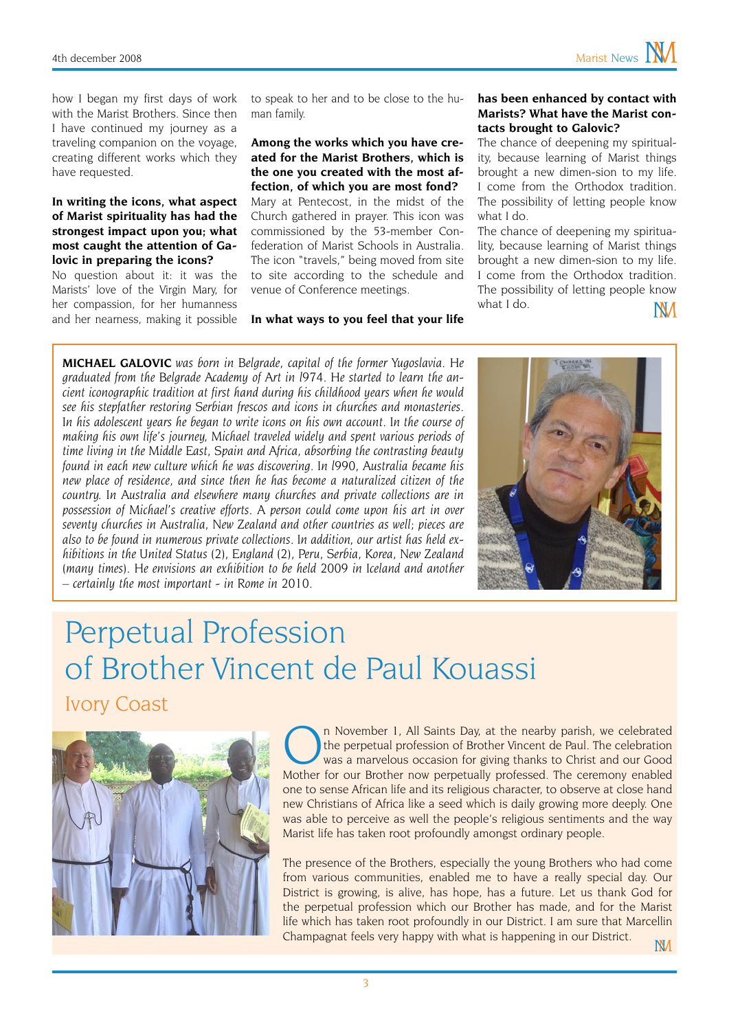how I began my first days of work with the Marist Brothers. Since then I have continued my journey as a traveling companion on the voyage, creating different works which they have requested.

#### **In writing the icons, what aspect of Marist spirituality has had the strongest impact upon you; what most caught the attention of Galovic in preparing the icons?**

No question about it: it was the Marists' love of the Virgin Mary, for her compassion, for her humanness and her nearness, making it possible to speak to her and to be close to the human family.

**Among the works which you have created for the Marist Brothers, which is the one you created with the most affection, of which you are most fond?** Mary at Pentecost, in the midst of the Church gathered in prayer. This icon was commissioned by the 53-member Confederation of Marist Schools in Australia. The icon "travels," being moved from site to site according to the schedule and venue of Conference meetings.

**In what ways to you feel that your life** 

#### **has been enhanced by contact with Marists? What have the Marist contacts brought to Galovic?**

The chance of deepening my spirituality, because learning of Marist things brought a new dimen-sion to my life. I come from the Orthodox tradition. The possibility of letting people know what I do.

The chance of deepening my spirituality, because learning of Marist things brought a new dimen-sion to my life. I come from the Orthodox tradition. The possibility of letting people know what I do. **NV** 

**MICHAEL GALOVIC** *was born in Belgrade, capital of the former Yugoslavia. He graduated from the Belgrade Academy of Art in l974. He started to learn the ancient iconographic tradition at first hand during his childhood years when he would see his stepfather restoring Serbian frescos and icons in churches and monasteries.*  In his adolescent years he began to write icons on his own account. In the course of *making his own life's journey, Michael traveled widely and spent various periods of time living in the Middle East, Spain and Africa, absorbing the contrasting beauty found in each new culture which he was discovering. In l990, Australia became his new place of residence, and since then he has become a naturalized citizen of the country. In Australia and elsewhere many churches and private collections are in possession of Michael's creative efforts. A person could come upon his art in over seventy churches in Australia, New Zealand and other countries as well; pieces are also to be found in numerous private collections. In addition, our artist has held exhibitions in the United Status (2), England (2), Peru, Serbia, Korea, New Zealand (many times). He envisions an exhibition to be held 2009 in Iceland and another – certainly the most important - in Rome in 2010.*



## Perpetual Profession of Brother Vincent de Paul Kouassi Ivory Coast



In November 1, All Saints Day, at the nearby parish, we celebrated<br>the perpetual profession of Brother Vincent de Paul. The celebration<br>was a marvelous occasion for giving thanks to Christ and our Good<br>Mother for Our Broth the perpetual profession of Brother Vincent de Paul. The celebration Mother for our Brother now perpetually professed. The ceremony enabled one to sense African life and its religious character, to observe at close hand new Christians of Africa like a seed which is daily growing more deeply. One was able to perceive as well the people's religious sentiments and the way Marist life has taken root profoundly amongst ordinary people.

The presence of the Brothers, especially the young Brothers who had come from various communities, enabled me to have a really special day. Our District is growing, is alive, has hope, has a future. Let us thank God for the perpetual profession which our Brother has made, and for the Marist life which has taken root profoundly in our District. I am sure that Marcellin Champagnat feels very happy with what is happening in our District.  $M$